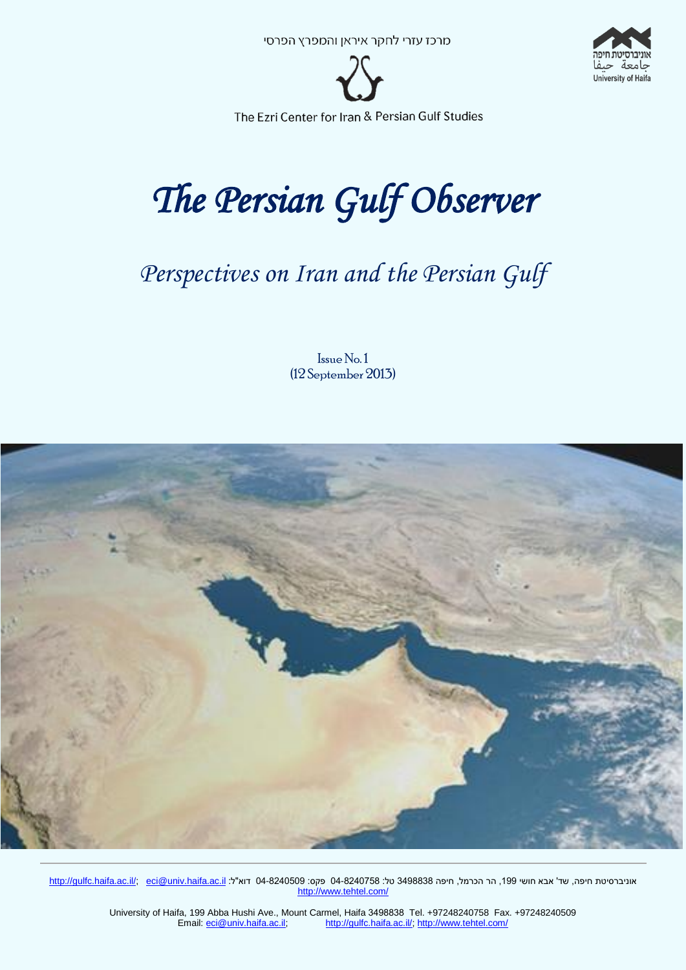



# *The Persian Gulf Observer*

# *Perspectives on Iran and the Persian Gulf*

Issue No. 1 (12 September 2013)



<u>http://gulfc.haifa.ac.il/; eci@univ.haifa.ac.il</u> דוא"ל: 04-8240509 פקס: 03-349838 דוא"ל: <u>inttp://gulfc.haifa.ac.il/; eci@univ.haifa.ac.il</u> דוא"ל: <u>c</u>i@univ.haifa.ac.il http://www.tehtel.com/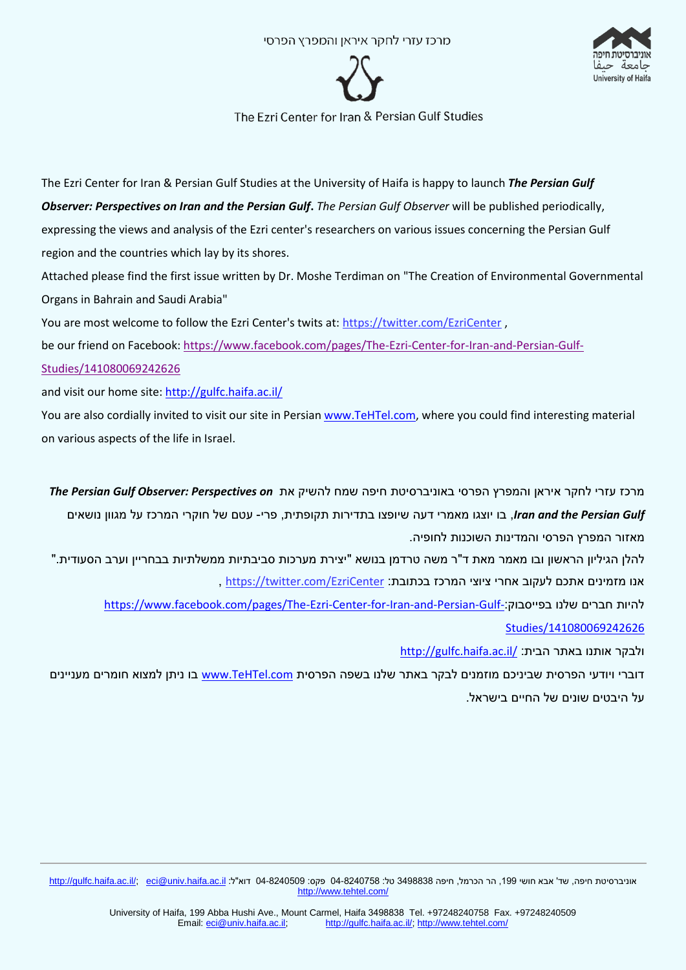



The Ezri Center for Iran & Persian Gulf Studies at the University of Haifa is happy to launch *The Persian Gulf Observer: Perspectives on Iran and the Persian Gulf***.** *The Persian Gulf Observer* will be published periodically, expressing the views and analysis of the Ezri center's researchers on various issues concerning the Persian Gulf region and the countries which lay by its shores.

Attached please find the first issue written by Dr. Moshe Terdiman on "The Creation of Environmental Governmental Organs in Bahrain and Saudi Arabia"

You are most welcome to follow the Ezri Center's twits at: <https://twitter.com/EzriCenter> ,

be our friend on Facebook: [https://www.facebook.com/pages/The-Ezri-Center-for-Iran-and-Persian-Gulf-](https://www.facebook.com/pages/The-Ezri-Center-for-Iran-and-Persian-Gulf-Studies/141080069242626)[Studies/141080069242626](https://www.facebook.com/pages/The-Ezri-Center-for-Iran-and-Persian-Gulf-Studies/141080069242626)

and visit our home site[: http://gulfc.haifa.ac.il/](http://gulfc.haifa.ac.il/)

You are also cordially invited to visit our site in Persia[n www.TeHTel.com,](http://www.tehtel.com/) where you could find interesting material on various aspects of the life in Israel.

מרכז עזרי לחקר איראן והמפרץ הפרסי באוניברסיטת חיפה שמח להשיק את *on Perspectives :Observer Gulf Persian The Gulf Persian the and Iran*, בו יוצגו מאמרי דעה שיופצו בתדירות תקופתית, פרי- עטם של חוקרי המרכז על מגוון נושאים מאזור המפרץ הפרסי והמדינות השוכנות לחופיה.

להלן הגיליון הראשון ובו מאמר מאת ד"ר משה טרדמן בנושא "יצירת מערכות סביבתיות ממשלתיות בבחריין וערב הסעודית." אנו מזמינים אתכם לעקוב אחרי ציוצי המרכז בכתובת: [EzriCenter/com.twitter://https](https://twitter.com/EzriCenter) ,

[https://www.facebook.com/pages/The-Ezri-Center-for-Iran-and-Persian-Gulf-](https://www.facebook.com/pages/The-Ezri-Center-for-Iran-and-Persian-Gulf-Studies/141080069242626):בפייסבוק שלנו חברים להיות [Studies/141080069242626](https://www.facebook.com/pages/The-Ezri-Center-for-Iran-and-Persian-Gulf-Studies/141080069242626)

<http://gulfc.haifa.ac.il/> ולבקר אותנו באתר הבית:

דוברי ויודעי הפרסית שביניכם מוזמנים לבקר באתר שלנו בשפה הפרסית [com.TeHTel.www](http://www.tehtel.com/) בו ניתן למצוא חומרים מעניינים על היבטים שונים של החיים בישראל.

<u>http://gulfc.haifa.ac.il/; eci@univ.haifa.ac.il</u> דוא"ל: 04-8240569 טל: 03-240758 סקס: 03-34340 דוא"ל: http://gulfc.haifa.ac.il/; eci@univ.haifa.ac.il דוא"ל: http://gulfc.haifa.ac.il/; eci@univ.haifa.ac.il http://www.tehtel.com/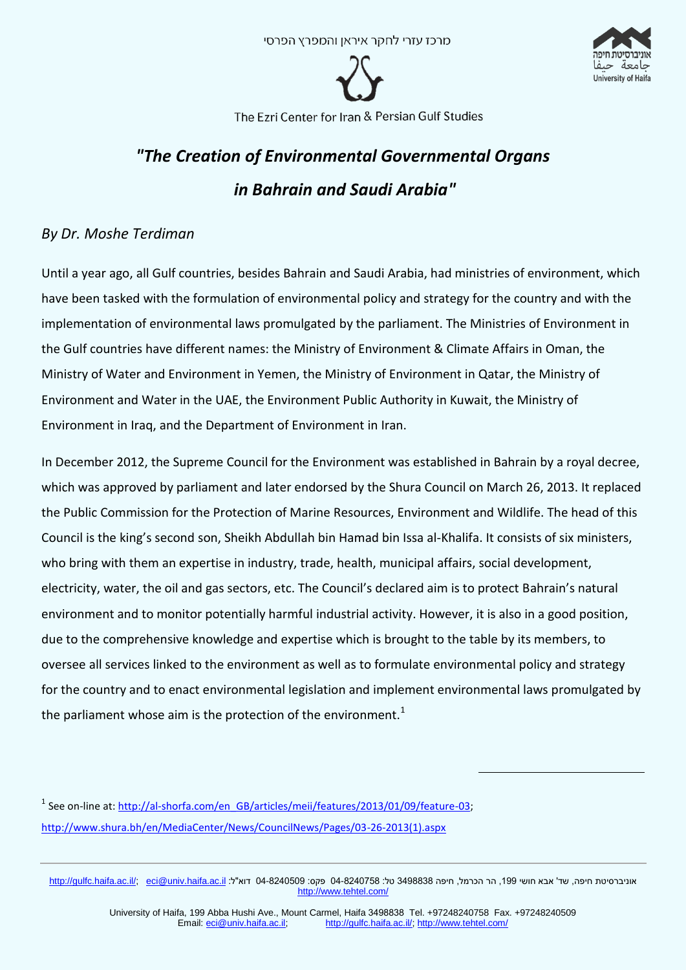

University of Haifa

The Ezri Center for Iran & Persian Gulf Studies

## *"The Creation of Environmental Governmental Organs in Bahrain and Saudi Arabia"*

## *By Dr. Moshe Terdiman*

Until a year ago, all Gulf countries, besides Bahrain and Saudi Arabia, had ministries of environment, which have been tasked with the formulation of environmental policy and strategy for the country and with the implementation of environmental laws promulgated by the parliament. The Ministries of Environment in the Gulf countries have different names: the Ministry of Environment & Climate Affairs in Oman, the Ministry of Water and Environment in Yemen, the Ministry of Environment in Qatar, the Ministry of Environment and Water in the UAE, the Environment Public Authority in Kuwait, the Ministry of Environment in Iraq, and the Department of Environment in Iran.

In December 2012, the Supreme Council for the Environment was established in Bahrain by a royal decree, which was approved by parliament and later endorsed by the Shura Council on March 26, 2013. It replaced the Public Commission for the Protection of Marine Resources, Environment and Wildlife. The head of this Council is the king's second son, Sheikh Abdullah bin Hamad bin Issa al-Khalifa. It consists of six ministers, who bring with them an expertise in industry, trade, health, municipal affairs, social development, electricity, water, the oil and gas sectors, etc. The Council's declared aim is to protect Bahrain's natural environment and to monitor potentially harmful industrial activity. However, it is also in a good position, due to the comprehensive knowledge and expertise which is brought to the table by its members, to oversee all services linked to the environment as well as to formulate environmental policy and strategy for the country and to enact environmental legislation and implement environmental laws promulgated by the parliament whose aim is the protection of the environment.<sup>1</sup>

<sup>1</sup> See on-line at: http://al-shorfa.com/en\_GB/articles/meii/features/2013/01/09/feature-03; [http://www.shura.bh/en/MediaCenter/News/CouncilNews/Pages/03-26-2013\(1\).aspx](http://www.shura.bh/en/MediaCenter/News/CouncilNews/Pages/03-26-2013(1).aspx)

<u>http://gulfc.haifa.ac.il/; eci@univ.haifa.ac.il</u> דוא"ל: 04-8240569 טל: 03-240758 סקס: 03-34340 דוא"ל: http://gulfc.haifa.ac.il/; eci@univ.haifa.ac.il דוא"ל: http://gulfc.haifa.ac.il/; eci@univ.haifa.ac.il http://www.tehtel.com/

1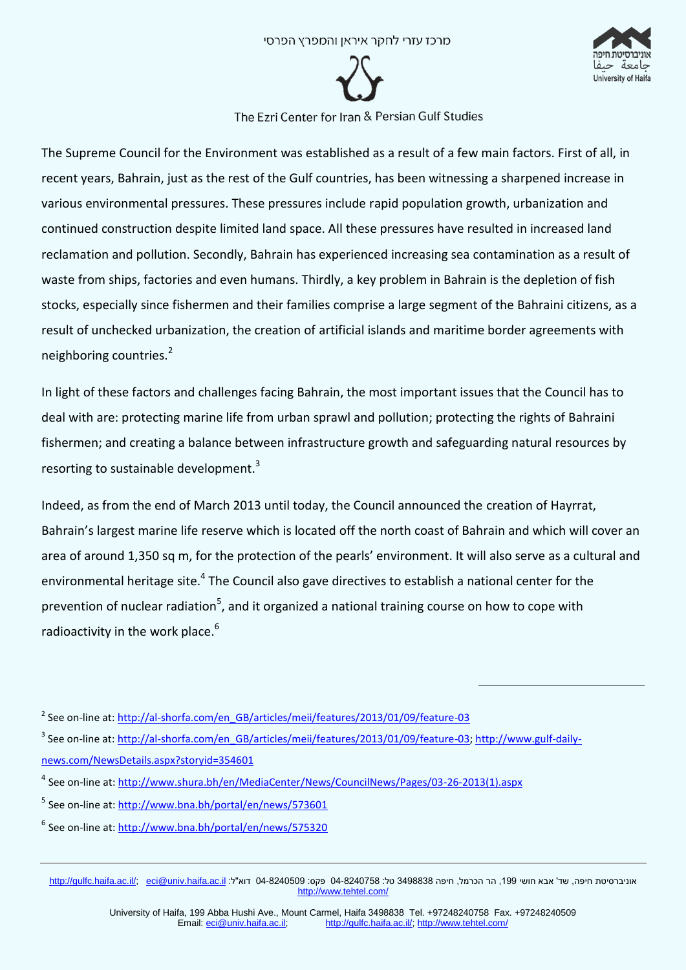



The Supreme Council for the Environment was established as a result of a few main factors. First of all, in recent years, Bahrain, just as the rest of the Gulf countries, has been witnessing a sharpened increase in various environmental pressures. These pressures include rapid population growth, urbanization and continued construction despite limited land space. All these pressures have resulted in increased land reclamation and pollution. Secondly, Bahrain has experienced increasing sea contamination as a result of waste from ships, factories and even humans. Thirdly, a key problem in Bahrain is the depletion of fish stocks, especially since fishermen and their families comprise a large segment of the Bahraini citizens, as a result of unchecked urbanization, the creation of artificial islands and maritime border agreements with neighboring countries.<sup>2</sup>

In light of these factors and challenges facing Bahrain, the most important issues that the Council has to deal with are: protecting marine life from urban sprawl and pollution; protecting the rights of Bahraini fishermen; and creating a balance between infrastructure growth and safeguarding natural resources by resorting to sustainable development. $3$ 

Indeed, as from the end of March 2013 until today, the Council announced the creation of Hayrrat, Bahrain's largest marine life reserve which is located off the north coast of Bahrain and which will cover an area of around 1,350 sq m, for the protection of the pearls' environment. It will also serve as a cultural and environmental heritage site.<sup>4</sup> The Council also gave directives to establish a national center for the prevention of nuclear radiation<sup>5</sup>, and it organized a national training course on how to cope with radioactivity in the work place.<sup>6</sup>

1

<sup>&</sup>lt;sup>2</sup> See on-line at: [http://al-shorfa.com/en\\_GB/articles/meii/features/2013/01/09/feature-03](http://al-shorfa.com/en_GB/articles/meii/features/2013/01/09/feature-03)

<sup>&</sup>lt;sup>3</sup> See on-line at: [http://al-shorfa.com/en\\_GB/articles/meii/features/2013/01/09/feature-03;](http://al-shorfa.com/en_GB/articles/meii/features/2013/01/09/feature-03) [http://www.gulf-daily](http://www.gulf-daily-news.com/NewsDetails.aspx?storyid=354601)[news.com/NewsDetails.aspx?storyid=354601](http://www.gulf-daily-news.com/NewsDetails.aspx?storyid=354601)

<sup>&</sup>lt;sup>4</sup> See on-line at: <u>http://www.shura.bh/en/MediaCenter/News/CouncilNews/Pages/03-26-2013(1).aspx</u>

<sup>&</sup>lt;sup>5</sup> See on-line at[: http://www.bna.bh/portal/en/news/573601](http://www.bna.bh/portal/en/news/573601)

<sup>&</sup>lt;sup>6</sup> See on-line at[: http://www.bna.bh/portal/en/news/575320](http://www.bna.bh/portal/en/news/575320)

 $\frac{\text{http://gulfc.haifa.ac.l/}}{\text{http://gulfc.haifa.ac.l/}}$  פה: 03-8240509 פקס: 03-349883 דוא"ל: iltp://gulfc.haifa.ac.il/; eci@univ.haifa.ac.il דוא"ל: http://gulfc.haifa.ac.il/; eci@univ.haifa.ac.il http://www.tehtel.com/